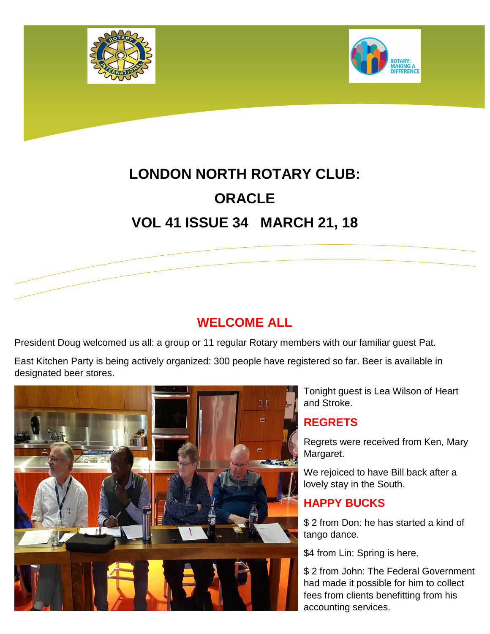



# **LONDON NORTH ROTARY CLUB: ORACLE VOL 41 ISSUE 34 MARCH 21, 18**

# **WELCOME ALL**

President Doug welcomed us all: a group or 11 regular Rotary members with our familiar guest Pat.

East Kitchen Party is being actively organized: 300 people have registered so far. Beer is available in designated beer stores.



Tonight guest is Lea Wilson of Heart and Stroke.

## **REGRETS**

Regrets were received from Ken, Mary Margaret.

We rejoiced to have Bill back after a lovely stay in the South.

## **HAPPY BUCKS**

\$ 2 from Don: he has started a kind of tango dance.

\$4 from Lin: Spring is here.

\$ 2 from John: The Federal Government had made it possible for him to collect fees from clients benefitting from his accounting services.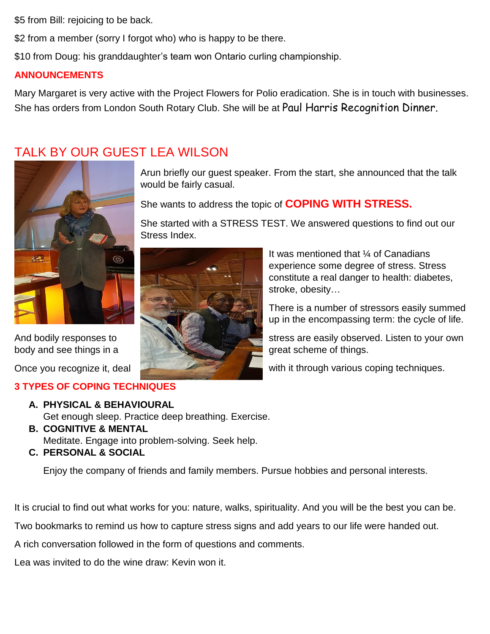\$5 from Bill: rejoicing to be back.

\$2 from a member (sorry I forgot who) who is happy to be there.

\$10 from Doug: his granddaughter's team won Ontario curling championship.

would be fairly casual.

Stress Index.

#### **ANNOUNCEMENTS**

Mary Margaret is very active with the Project Flowers for Polio eradication. She is in touch with businesses. She has orders from London South Rotary Club. She will be at Paul Harris Recognition Dinner.

Arun briefly our guest speaker. From the start, she announced that the talk

She started with a STRESS TEST. We answered questions to find out our

She wants to address the topic of **COPING WITH STRESS.**

# TALK BY OUR GUEST LEA WILSON



## **3 TYPES OF COPING TECHNIQUES**

#### **A. PHYSICAL & BEHAVIOURAL**

Get enough sleep. Practice deep breathing. Exercise.

**B. COGNITIVE & MENTAL**

Meditate. Engage into problem-solving. Seek help.

**C. PERSONAL & SOCIAL**

Enjoy the company of friends and family members. Pursue hobbies and personal interests.

It is crucial to find out what works for you: nature, walks, spirituality. And you will be the best you can be.

Two bookmarks to remind us how to capture stress signs and add years to our life were handed out.

A rich conversation followed in the form of questions and comments.

Lea was invited to do the wine draw: Kevin won it.

It was mentioned that ¼ of Canadians experience some degree of stress. Stress constitute a real danger to health: diabetes, stroke, obesity…

There is a number of stressors easily summed up in the encompassing term: the cycle of life.

And bodily responses to stress are easily observed. Listen to your own

Once you recognize it, deal with it through various coping techniques.